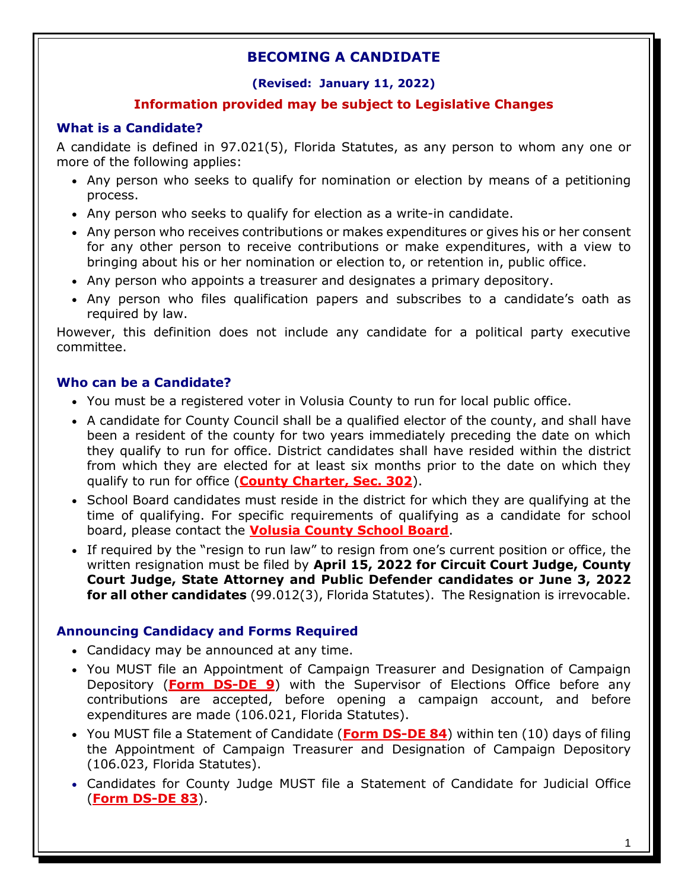## **(Revised: January 11, 2022)**

## **Information provided may be subject to Legislative Changes**

## **What is a Candidate?**

A candidate is defined in 97.021(5), Florida Statutes, as any person to whom any one or more of the following applies:

- Any person who seeks to qualify for nomination or election by means of a petitioning process.
- Any person who seeks to qualify for election as a write-in candidate.
- Any person who receives contributions or makes expenditures or gives his or her consent for any other person to receive contributions or make expenditures, with a view to bringing about his or her nomination or election to, or retention in, public office.
- Any person who appoints a treasurer and designates a primary depository.
- Any person who files qualification papers and subscribes to a candidate's oath as required by law.

However, this definition does not include any candidate for a political party executive committee.

### **Who can be a Candidate?**

- You must be a registered voter in Volusia County to run for local public office.
- A candidate for County Council shall be a qualified elector of the county, and shall have been a resident of the county for two years immediately preceding the date on which they qualify to run for office. District candidates shall have resided within the district from which they are elected for at least six months prior to the date on which they qualify to run for office (**[County Charter, Sec. 302](http://www.volusia.org/government/county-council/how-county-government-works/home-rule-charter-details.stml)**).
- School Board candidates must reside in the district for which they are qualifying at the time of qualifying. For specific requirements of qualifying as a candidate for school board, please contact the **[Volusia County School Board](http://myvolusiaschools.org/)**.
- If required by the "resign to run law" to resign from one's current position or office, the written resignation must be filed by **April 15, 2022 for Circuit Court Judge, County Court Judge, State Attorney and Public Defender candidates or June 3, 2022 for all other candidates** (99.012(3), Florida Statutes). The Resignation is irrevocable.

## **Announcing Candidacy and Forms Required**

- Candidacy may be announced at any time.
- You MUST file an Appointment of Campaign Treasurer and Designation of Campaign Depository (**[Form DS-DE 9](https://dos.myflorida.com/elections/forms-publications/forms/)**) with the Supervisor of Elections Office before any contributions are accepted, before opening a campaign account, and before expenditures are made (106.021, Florida Statutes).
- You MUST file a Statement of Candidate (**[Form DS-DE 84](https://dos.myflorida.com/elections/forms-publications/forms/)**) within ten (10) days of filing the Appointment of Campaign Treasurer and Designation of Campaign Depository (106.023, Florida Statutes).
- Candidates for County Judge MUST file a Statement of Candidate for Judicial Office (**[Form DS-DE 83](https://dos.myflorida.com/elections/forms-publications/forms/)**).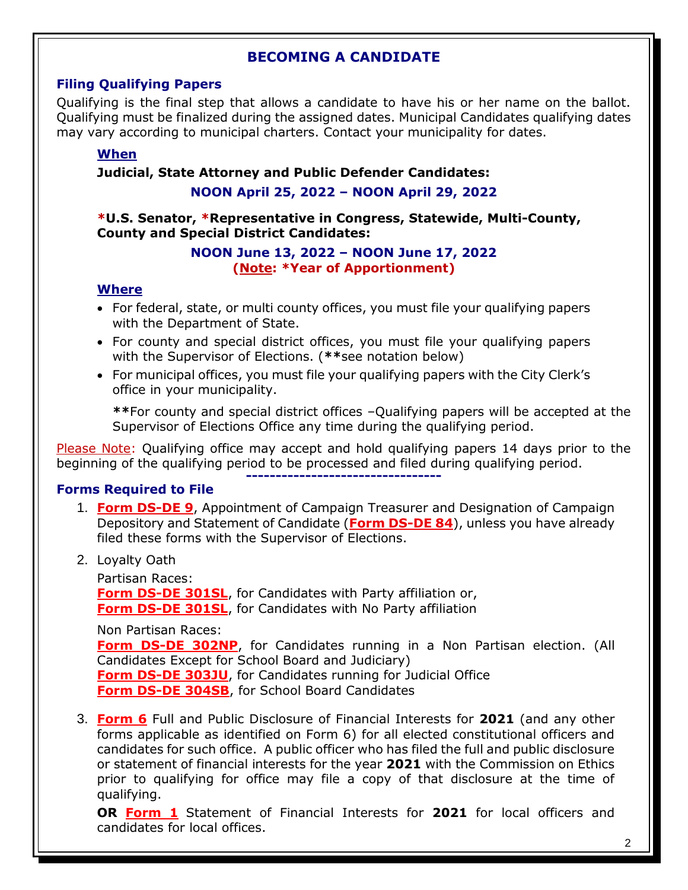## **Filing Qualifying Papers**

Qualifying is the final step that allows a candidate to have his or her name on the ballot. Qualifying must be finalized during the assigned dates. Municipal Candidates qualifying dates may vary according to municipal charters. Contact your municipality for dates.

## **When**

## **Judicial, State Attorney and Public Defender Candidates:**

## **NOON April 25, 2022 – NOON April 29, 2022**

#### **\*U.S. Senator, \*Representative in Congress, Statewide, Multi-County, County and Special District Candidates:**

#### **NOON June 13, 2022 – NOON June 17, 2022 (Note: \*Year of Apportionment)**

## **Where**

- For federal, state, or multi county offices, you must file your qualifying papers with the Department of State.
- For county and special district offices, you must file your qualifying papers with the Supervisor of Elections. (**\*\***see notation below)
- For municipal offices, you must file your qualifying papers with the City Clerk's office in your municipality.

**\*\***For county and special district offices –Qualifying papers will be accepted at the Supervisor of Elections Office any time during the qualifying period.

Please Note: Qualifying office may accept and hold qualifying papers 14 days prior to the beginning of the qualifying period to be processed and filed during qualifying period. **---------------------------------**

## **Forms Required to File**

- 1. **[Form DS-DE 9](https://dos.myflorida.com/elections/forms-publications/forms/)**, Appointment of Campaign Treasurer and Designation of Campaign Depository and Statement of Candidate (**[Form DS-DE 84](https://dos.myflorida.com/elections/forms-publications/forms/)**), unless you have already filed these forms with the Supervisor of Elections.
- 2. Loyalty Oath

Partisan Races: **[Form DS-DE 301SL](https://dos.myflorida.com/elections/forms-publications/forms/)**, for Candidates with Party affiliation or, **[Form DS-DE 301SL](https://dos.myflorida.com/elections/forms-publications/forms/)**, for Candidates with No Party affiliation

Non Partisan Races:

**[Form DS-DE 302NP](https://dos.myflorida.com/elections/forms-publications/forms/)**, for Candidates running in a Non Partisan election. (All Candidates Except for School Board and Judiciary) **[Form DS-DE 303JU](https://dos.myflorida.com/elections/forms-publications/forms/)**, for Candidates running for Judicial Office **[Form DS-DE 304SB](https://dos.myflorida.com/elections/forms-publications/forms/)**, for School Board Candidates

3. **[Form](http://www.ethics.state.fl.us/FinancialDisclosure/DownloadAForm.aspx) 6** Full and Public Disclosure of Financial Interests for **2021** (and any other forms applicable as identified on Form 6) for all elected constitutional officers and candidates for such office. A public officer who has filed the full and public disclosure or statement of financial interests for the year **2021** with the Commission on Ethics prior to qualifying for office may file a copy of that disclosure at the time of qualifying.

**OR [Form 1](http://www.ethics.state.fl.us/FinancialDisclosure/DownloadAForm.aspx)** Statement of Financial Interests for **2021** for local officers and candidates for local offices.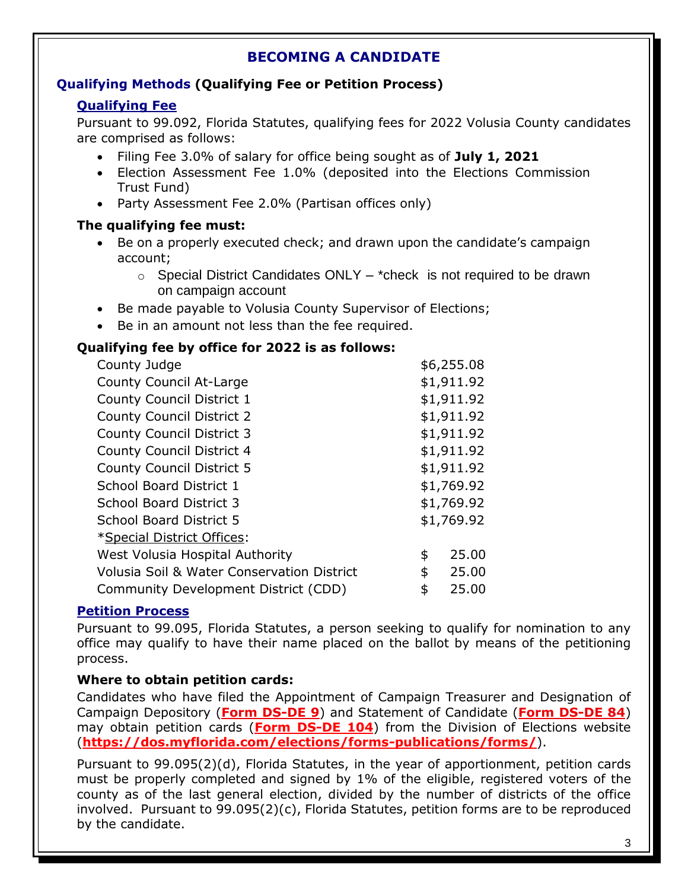## **Qualifying Methods (Qualifying Fee or Petition Process)**

## **Qualifying Fee**

Pursuant to 99.092, Florida Statutes, qualifying fees for 2022 Volusia County candidates are comprised as follows:

- Filing Fee 3.0% of salary for office being sought as of **July 1, 2021**
- Election Assessment Fee 1.0% (deposited into the Elections Commission Trust Fund)
- Party Assessment Fee 2.0% (Partisan offices only)

## **The qualifying fee must:**

- Be on a properly executed check; and drawn upon the candidate's campaign account;
	- $\circ$  Special District Candidates ONLY \*check is not required to be drawn on campaign account
- Be made payable to Volusia County Supervisor of Elections;
- Be in an amount not less than the fee required.

## **Qualifying fee by office for 2022 is as follows:**

| County Judge                                          | \$6,255.08  |
|-------------------------------------------------------|-------------|
| <b>County Council At-Large</b>                        | \$1,911.92  |
| <b>County Council District 1</b>                      | \$1,911.92  |
| <b>County Council District 2</b>                      | \$1,911.92  |
| <b>County Council District 3</b>                      | \$1,911.92  |
| <b>County Council District 4</b>                      | \$1,911.92  |
| <b>County Council District 5</b>                      | \$1,911.92  |
| School Board District 1                               | \$1,769.92  |
| <b>School Board District 3</b>                        | \$1,769.92  |
| <b>School Board District 5</b>                        | \$1,769.92  |
| *Special District Offices:                            |             |
| West Volusia Hospital Authority                       | \$<br>25.00 |
| <b>Volusia Soil &amp; Water Conservation District</b> | \$<br>25.00 |
| Community Development District (CDD)                  | \$<br>25.00 |
|                                                       |             |

## **Petition Process**

Pursuant to 99.095, Florida Statutes, a person seeking to qualify for nomination to any office may qualify to have their name placed on the ballot by means of the petitioning process.

## **Where to obtain petition cards:**

Candidates who have filed the Appointment of Campaign Treasurer and Designation of Campaign Depository (**[Form DS-DE 9](https://dos.myflorida.com/elections/forms-publications/forms/)**) and Statement of Candidate (**[Form DS-DE 84](https://dos.myflorida.com/elections/forms-publications/forms/)**) may obtain petition cards (**[Form DS-DE 104](https://dos.myflorida.com/elections/forms-publications/forms/)**) from the Division of Elections website (**<https://dos.myflorida.com/elections/forms-publications/forms/>**).

Pursuant to 99.095(2)(d), Florida Statutes, in the year of apportionment, petition cards must be properly completed and signed by 1% of the eligible, registered voters of the county as of the last general election, divided by the number of districts of the office involved. Pursuant to 99.095(2)(c), Florida Statutes, petition forms are to be reproduced by the candidate.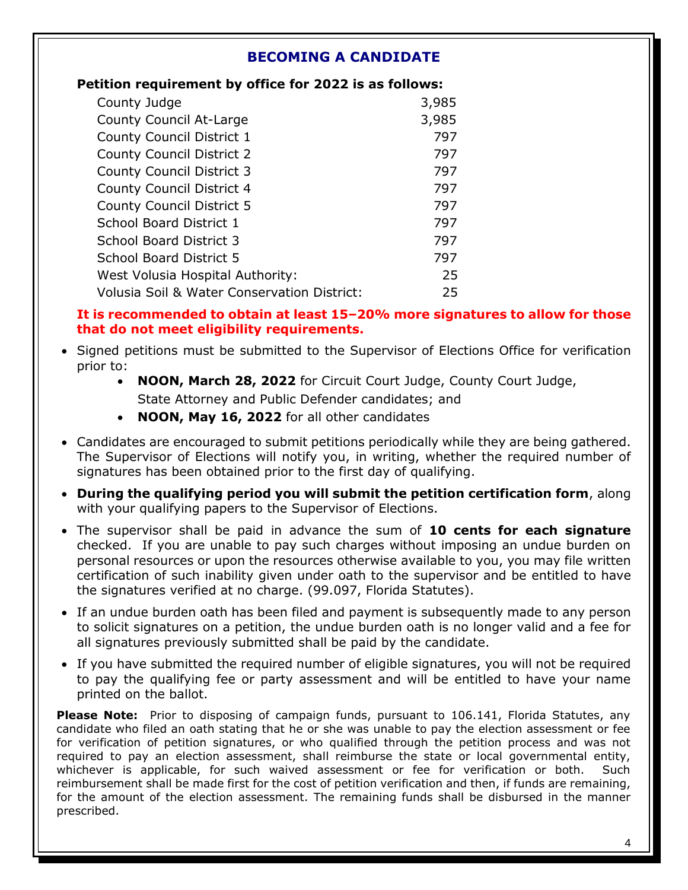### **Petition requirement by office for 2022 is as follows:**

| County Judge                                | 3,985 |
|---------------------------------------------|-------|
| County Council At-Large                     | 3,985 |
| County Council District 1                   | 797   |
| <b>County Council District 2</b>            | 797   |
| <b>County Council District 3</b>            | 797   |
| County Council District 4                   | 797   |
| <b>County Council District 5</b>            | 797   |
| School Board District 1                     | 797   |
| <b>School Board District 3</b>              | 797   |
| <b>School Board District 5</b>              | 797   |
| West Volusia Hospital Authority:            | 25    |
| Volusia Soil & Water Conservation District: | 25    |

### **It is recommended to obtain at least 15–20% more signatures to allow for those that do not meet eligibility requirements.**

- Signed petitions must be submitted to the Supervisor of Elections Office for verification prior to:
	- **NOON, March 28, 2022** for Circuit Court Judge, County Court Judge, State Attorney and Public Defender candidates; and
	- **NOON, May 16, 2022** for all other candidates
- Candidates are encouraged to submit petitions periodically while they are being gathered. The Supervisor of Elections will notify you, in writing, whether the required number of signatures has been obtained prior to the first day of qualifying.
- **During the qualifying period you will submit the petition certification form**, along with your qualifying papers to the Supervisor of Elections.
- The supervisor shall be paid in advance the sum of **10 cents for each signature** checked. If you are unable to pay such charges without imposing an undue burden on personal resources or upon the resources otherwise available to you, you may file written certification of such inability given under oath to the supervisor and be entitled to have the signatures verified at no charge. (99.097, Florida Statutes).
- If an undue burden oath has been filed and payment is subsequently made to any person to solicit signatures on a petition, the undue burden oath is no longer valid and a fee for all signatures previously submitted shall be paid by the candidate.
- If you have submitted the required number of eligible signatures, you will not be required to pay the qualifying fee or party assessment and will be entitled to have your name printed on the ballot.

**Please Note:** Prior to disposing of campaign funds, pursuant to 106.141, Florida Statutes, any candidate who filed an oath stating that he or she was unable to pay the election assessment or fee for verification of petition signatures, or who qualified through the petition process and was not required to pay an election assessment, shall reimburse the state or local governmental entity, whichever is applicable, for such waived assessment or fee for verification or both. Such reimbursement shall be made first for the cost of petition verification and then, if funds are remaining, for the amount of the election assessment. The remaining funds shall be disbursed in the manner prescribed.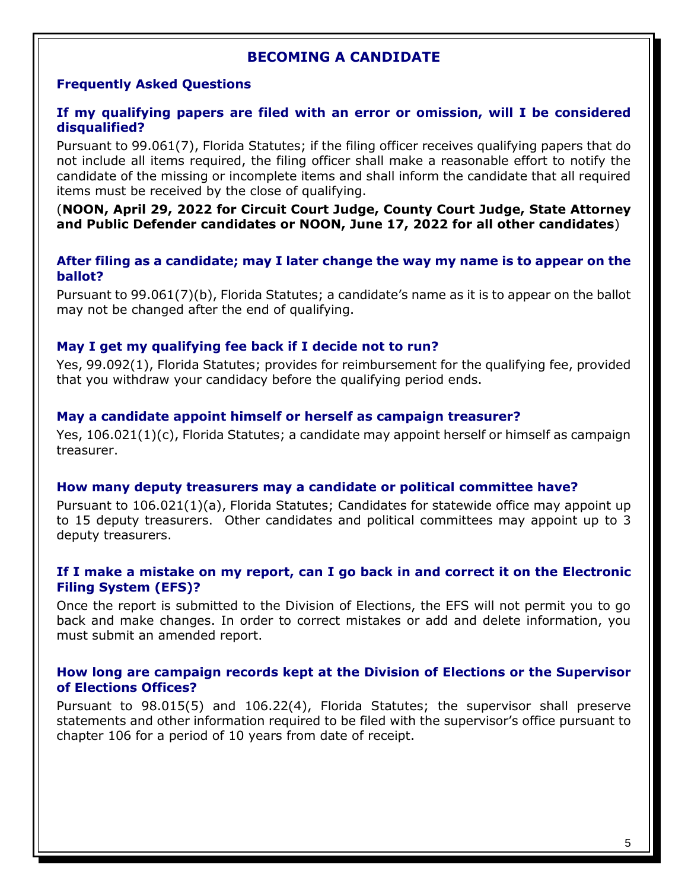## **Frequently Asked Questions**

### **If my qualifying papers are filed with an error or omission, will I be considered disqualified?**

Pursuant to 99.061(7), Florida Statutes; if the filing officer receives qualifying papers that do not include all items required, the filing officer shall make a reasonable effort to notify the candidate of the missing or incomplete items and shall inform the candidate that all required items must be received by the close of qualifying.

(**NOON, April 29, 2022 for Circuit Court Judge, County Court Judge, State Attorney and Public Defender candidates or NOON, June 17, 2022 for all other candidates**)

**After filing as a candidate; may I later change the way my name is to appear on the ballot?**

Pursuant to 99.061(7)(b), Florida Statutes; a candidate's name as it is to appear on the ballot may not be changed after the end of qualifying.

### **May I get my qualifying fee back if I decide not to run?**

Yes, 99.092(1), Florida Statutes; provides for reimbursement for the qualifying fee, provided that you withdraw your candidacy before the qualifying period ends.

### **May a candidate appoint himself or herself as campaign treasurer?**

Yes, 106.021(1)(c), Florida Statutes; a candidate may appoint herself or himself as campaign treasurer.

#### **How many deputy treasurers may a candidate or political committee have?**

Pursuant to 106.021(1)(a), Florida Statutes; Candidates for statewide office may appoint up to 15 deputy treasurers. Other candidates and political committees may appoint up to 3 deputy treasurers.

### **If I make a mistake on my report, can I go back in and correct it on the Electronic Filing System (EFS)?**

Once the report is submitted to the Division of Elections, the EFS will not permit you to go back and make changes. In order to correct mistakes or add and delete information, you must submit an amended report.

#### **How long are campaign records kept at the Division of Elections or the Supervisor of Elections Offices?**

Pursuant to 98.015(5) and 106.22(4), Florida Statutes; the supervisor shall preserve statements and other information required to be filed with the supervisor's office pursuant to chapter 106 for a period of 10 years from date of receipt.